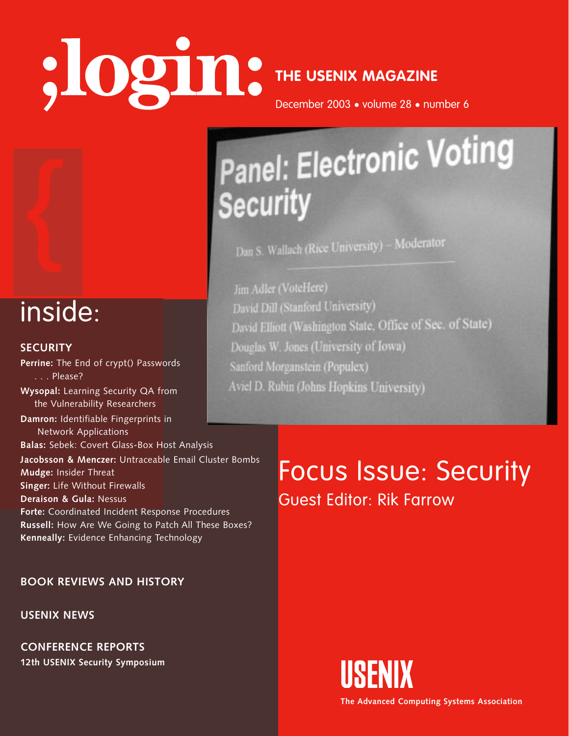# **THE USENIX MAGAZINE**

December 2003 • volume 28 • number 6

## Panel: Electronic Voting **Security**

Dan S. Wallach (Rice University) - Moderator

Jim Adler (VoteHere) David Dill (Stanford University) David Elliott (Washington State, Office of Sec. of State) Douglas W. Jones (University of Iowa) Sanford Morganstein (Populex) Aviel D. Rubin (Johns Hopkins University)

### inside:

#### **SECURITY**

Procedures<br>All These Boxes?<br>blogy<br>, **Perrine:** The End of crypt() Passwords  $\overline{\ldots}$ . Please? **Wysopal:** Learning Security QA from the Vulnerability Researchers **Damron:** Identifiable Fingerprints in Network Applications **Balas:** Sebek: Covert Glass-Box Host Analysis **Jacobsson & Menczer:** Untraceable Email Cluster Bombs **Mudge:** Insider Threat **Singer:** Life Without Firewalls **Deraison & Gula:** Nessus **Forte:** Coordinated Incident Response Procedures **Russell:** How Are We Going to Patch All These Boxes? **Kenneally:** Evidence Enhancing Technology

**BOOK REVIEWS AND HISTORY**

**USENIX NEWS**

**CONFERENCE REPORTS 12th USENIX Security Symposium** 

### Focus Issue: Security Guest Editor: Rik Farrow



**The Advanced Computing Systems Association**